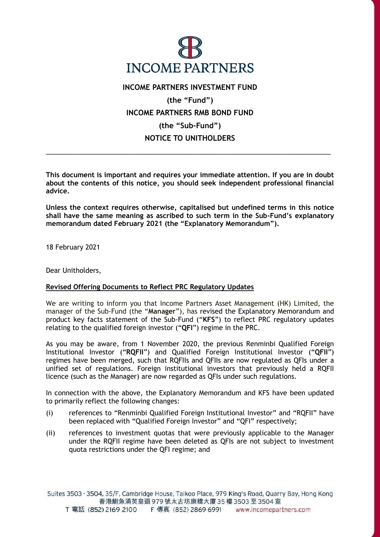

**INCOME PARTNERS INVESTMENT FUND (the "Fund") INCOME PARTNERS RMB BOND FUND (the "Sub-Fund") NOTICE TO UNITHOLDERS**

**This document is important and requires your immediate attention. If you are in doubt about the contents of this notice, you should seek independent professional financial advice.**

\_\_\_\_\_\_\_\_\_\_\_\_\_\_\_\_\_\_\_\_\_\_\_\_\_\_\_\_\_\_\_\_\_\_\_\_\_\_\_\_\_\_\_\_\_\_\_\_\_\_\_\_\_\_\_\_\_\_\_\_\_\_\_\_\_\_\_\_\_\_\_

**Unless the context requires otherwise, capitalised but undefined terms in this notice shall have the same meaning as ascribed to such term in the Sub-Fund's explanatory memorandum dated February 2021 (the "Explanatory Memorandum").** 

18 February 2021

Dear Unitholders,

## **Revised Offering Documents to Reflect PRC Regulatory Updates**

We are writing to inform you that Income Partners Asset Management (HK) Limited, the manager of the Sub-Fund (the "**Manager**"), has revised the Explanatory Memorandum and product key facts statement of the Sub-Fund ("**KFS**") to reflect PRC regulatory updates relating to the qualified foreign investor ("**QFI**") regime in the PRC.

As you may be aware, from 1 November 2020, the previous Renminbi Qualified Foreign Institutional Investor ("**RQFII**") and Qualified Foreign Institutional Investor ("**QFII**") regimes have been merged, such that RQFIIs and QFIIs are now regulated as QFIs under a unified set of regulations. Foreign institutional investors that previously held a RQFII licence (such as the Manager) are now regarded as QFIs under such regulations.

In connection with the above, the Explanatory Memorandum and KFS have been updated to primarily reflect the following changes:

- (i) references to "Renminbi Qualified Foreign Institutional Investor" and "RQFII" have been replaced with "Qualified Foreign Investor" and "QFI" respectively;
- (ii) references to investment quotas that were previously applicable to the Manager under the RQFII regime have been deleted as QFIs are not subject to investment quota restrictions under the QFI regime; and

Suites 3503 - 3504, 35/F, Cambridge House, Taikoo Place, 979 King's Road, Quarry Bay, Hong Kong 香港鰂魚涌英皇道 979 號太古坊康橋大廈 35 樓 3503 至 3504 室 T 電話 (852) 2169 2100 F 傳真 (852) 2869 6991 www.incomepartners.com